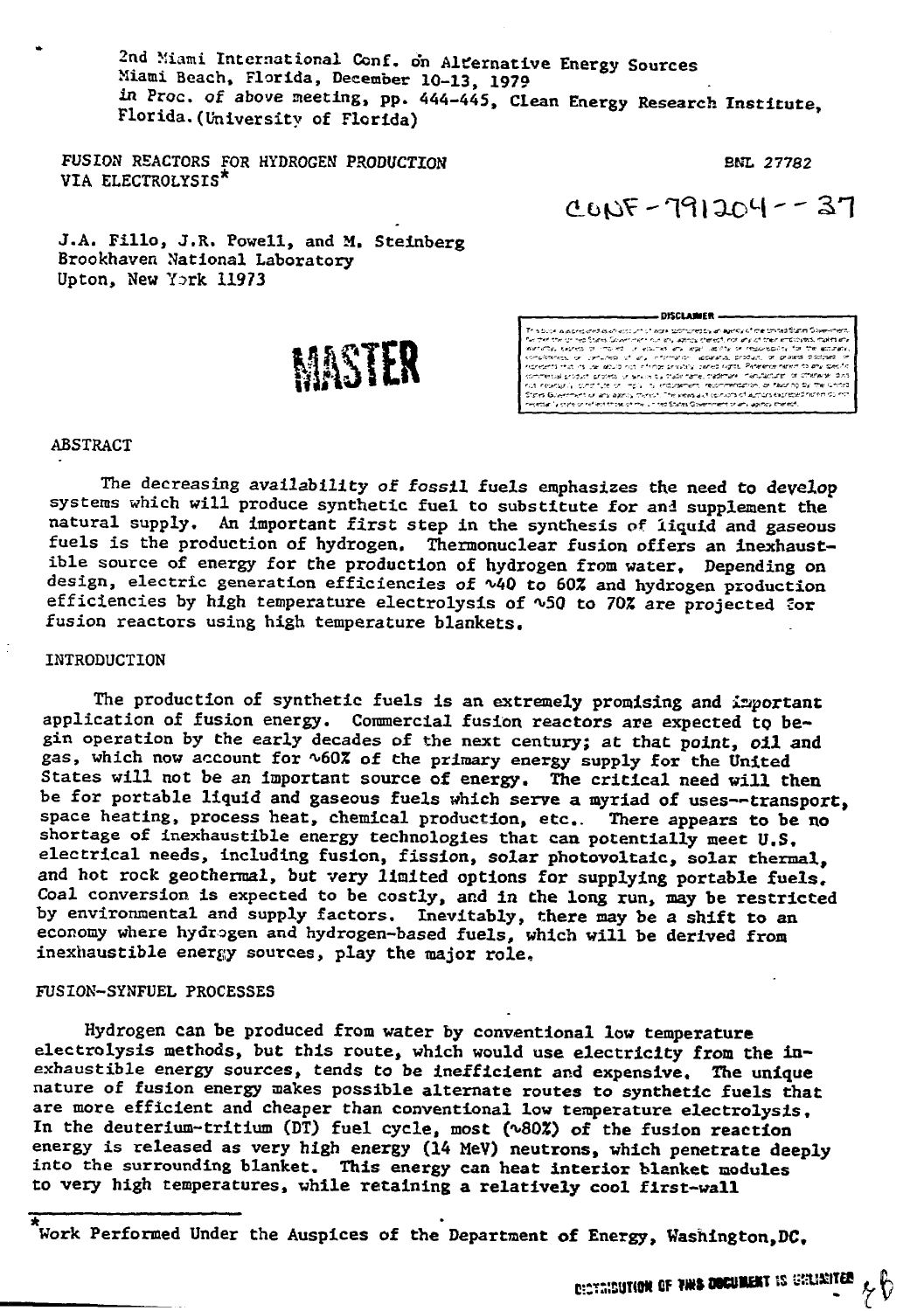2nd Miami International Conf. on Alternative Energy Sources Miami Beach, Florida, December 10-13, 1979 in Proc. of above meeting, pp. 444-445, Clean Energy Research Institute, Florida.(University of Florida)

FUSION REACTORS FOR HYDROGEN PRODUCTION BNL 27782 VIA ELECTROLYSIS\*

 $0.005 - 791204 - 37$ 

J.A. Fillo, J.R. Powell, and M. Steinberg Brookhaven National Laboratory Upton, New Ysrk 11973

MASTER

- DISCLAIMER This book was traced as when the state assumed to wave of the transform Government for the transform Government for the activity of the State Construction of the State Construction of the Construction of the Construction

# ABSTRACT

The decreasing availability of fossil fuels emphasizes the need to develop systems which will produce synthetic fuel to substitute for and supplement the natural supply. An important first step in the synthesis of liquid and gaseous fuels is the production of hydrogen. Thermonuclear fusion offers an inexhaustible source of energy for the production of hydrogen from water, Depending on design, electric generation efficiencies of  $\sqrt{40}$  to 60% and hydrogen production efficiencies by high temperature electrolysis of ~50 to 70% are projected for fusion reactors using high temperature blankets.

#### INTRODUCTION

The production of synthetic fuels is an extremely promising and important application of fusion energy. Commercial fusion reactors are expected to begin operation by the early decades of the next century; at that point, oil and gas, which now account for ~60% of the primary energy supply for the United States will not be an Important source of energy. The critical need will then be for portable liquid and gaseous fuels which serve a myriad of uses—transport, space heating, process heat, chemical production, etc.. There appears to be no shortage of inexhaustible energy technologies that can potentially meet U.S. electrical needs, including fusion, fission, solar photovoltaic, solar thermal, and hot rock geothermal, but very limited options for supplying portable fuels. Coal conversion is expected to be costly, and in the long run, may be restricted by environmental and supply factors. Inevitably, there may be a shift to an economy where hydrogen and hydrogen-based fuels, which will be derived from inexhaustible energy sources, play the major role,

#### FUSION-SYNFUEL PROCESSES

Hydrogen can be produced from water by conventional low temperature electrolysis methods, but this route, which would use electricity from the inexhaustible energy sources, tends to be inefficient and expensive. The unique nature of fusion energy makes possible alternate routes to synthetic fuels that are more efficient and cheaper than conventional low temperature electrolysis. In the deuterium-tritium (DT) fuel cycle, most (^802) of the fusion reaction energy is released as very high energy (14 MeV) neutrons, which penetrate deeply into the surrounding blanket. This energy can heat interior blanket modules to very high temperatures, while retaining a relatively cool first-wall

Work Performed Under the Auspices of the Department of Energy, Washington, DC.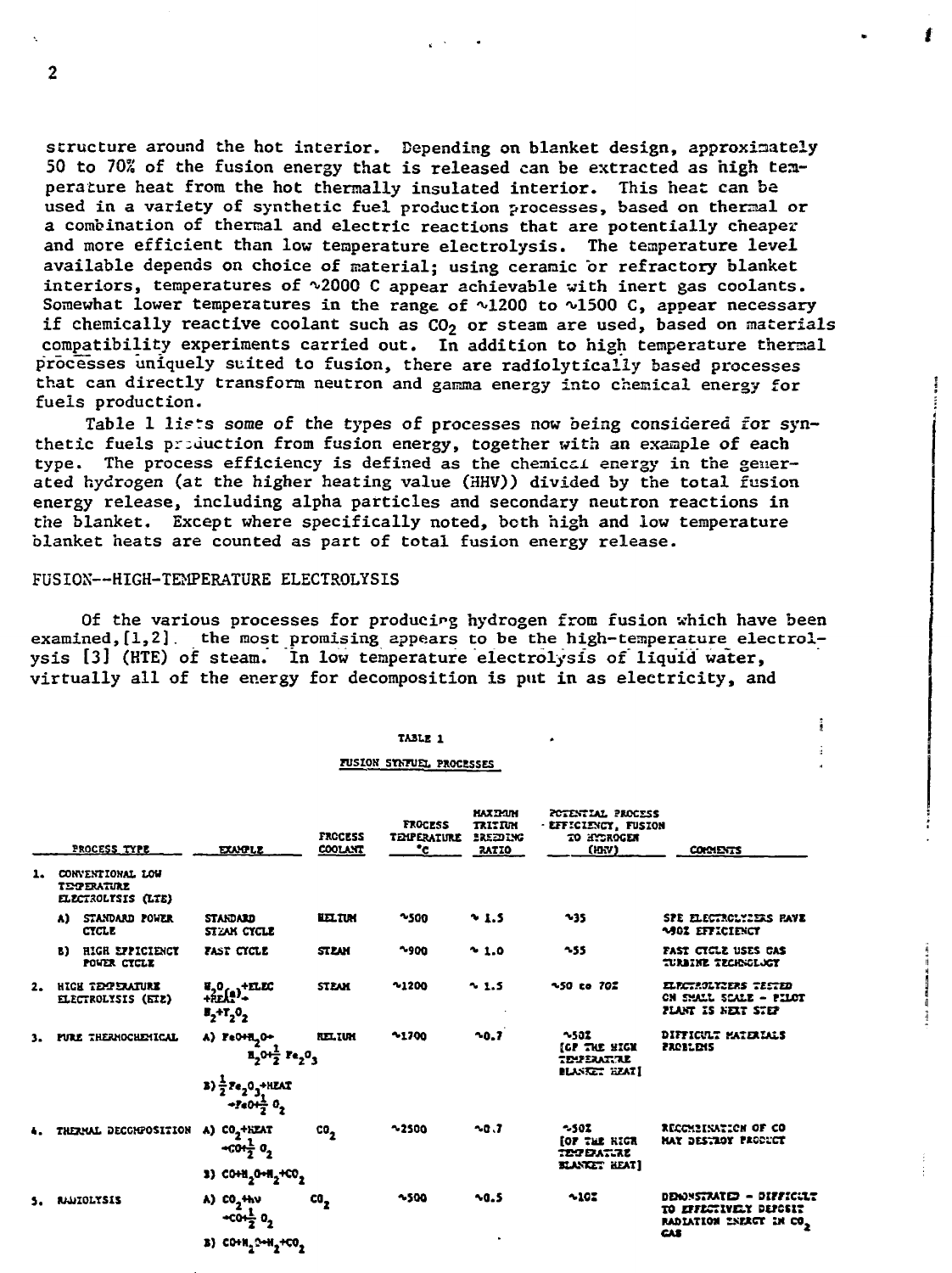structure around the hot interior. Depending on blanket design, approximately 50 to 70% of the fusion energy that is released can be extracted as high temperature heat from the hot thermally insulated interior. This heat can be used in a variety of synthetic fuel production processes, based on theraal or a combination of thermal and electric reactions that are potentially cheaper and more efficient than low temperature electrolysis. The temperature level available depends on choice of material; using ceramic or refractory blanket interiors, temperatures of ^2000 C appear achievable with inert gas coolants. Somewhat lower temperatures in the range of  $\sqrt{1200}$  to  $\sqrt{1500}$  C, appear necessary if chemically reactive coolant such as  $CO<sub>2</sub>$  or steam are used, based on materials compatibility experiments carried out. In addition to high temperature thermal processes uniquely suited to fusion, there are radiolyticaliy based processes that can directly transform neutron and gamma energy into chemical energy for fuels production.

Table 1 lists some of the types of processes now being considered for synthetic fuels production from fusion energy, together with an example of each type. The process efficiency is defined as the chemical energy in the generated hydrogen (at the higher heating value (HHV)) divided by the total fusion energy release, including alpha particles and secondary neutron reactions in the blanket. Except where specifically noted, both high and low temperature blanket heats are counted as part of total fusion energy release.

## FUSION—HIGH-TEMPERATURE ELECTROLYSIS

 $\overline{2}$ 

Of the various processes for producing hydrogen from fusion which have been examined,[1,2]. the most promising appears to be the high-temperature electrolysis [3] (HTE) of steam. In low temperature electrolysis of liquid water, virtually all of the energy for decomposition is put in as electricity, and

> **TABLE 1 FUSION STKFUEL PROCESSES**

i

|    |                                                              | PROCESS TYPE                           | <b>EXAMPLE</b>                                                                                                       | <b>FROCESS</b><br><b>COOLANT</b> | <b>TROCESS</b><br><b>TELPERATURE</b><br>°c | <b>HAXIMM</b><br>TRITIUM<br>EREEDING<br><b>RATIO</b> | POTENTIAL PROCESS<br>· EFFICIENCY, FUSION<br>TO HYDROGEN<br>(HW)   | <b>COMMENTS</b>                                                                            |
|----|--------------------------------------------------------------|----------------------------------------|----------------------------------------------------------------------------------------------------------------------|----------------------------------|--------------------------------------------|------------------------------------------------------|--------------------------------------------------------------------|--------------------------------------------------------------------------------------------|
| ı. | CONVENTIONAL LOW<br><b>TEMPERATURE</b><br>ELECTROLYSIS (LTE) |                                        |                                                                                                                      |                                  |                                            |                                                      |                                                                    |                                                                                            |
|    | A).                                                          | STANDARD POWER<br><b>CTCLE</b>         | <b>STANDARD</b><br>STEAK CYCLE                                                                                       | <b>LEL TIM</b>                   | $^{\sim}$ 500                              | 5.1.5                                                | $-35$                                                              | SPE ELECTROLYZERS FAVE<br><b>1902 EFFICIENCY</b>                                           |
|    | B).                                                          | HIGH EFFICIENCY<br>POWER CYCLE         | FAST CICLE                                                                                                           | <b>STEAM</b>                     | $-900$                                     | 21.0                                                 | $-55$                                                              | FAST CTCLE USES CAS<br>turbine technology                                                  |
| 2. |                                                              | HICH TELPERATURE<br>ELECTROLYSIS (ETE) | $\begin{array}{l}\n\mathbf{H}_2\mathbf{0} \\ +\mathbf{R}\mathbf{E}\mathbf{A}\mathbf{1}\n\end{array}$<br>$T_2+T_2O_2$ | <b>STEAM</b>                     | 21200                                      | 2.5                                                  | <b>~50 to 702</b>                                                  | ELECTROLYZERS TESTED<br>CN SMALL SCALE - PILOT<br>FLANT IS NEXT STEP                       |
|    |                                                              | <b>FURE THERMOCHEMICAL</b>             | A) FeOHLO+<br>$1.0 + \frac{1}{2}$ $1.0$                                                                              | <b>RELIGH</b>                    | 21700                                      | $-0.7$                                               | $-502$<br>(CP THE SIGK<br><b>TEVERATRE</b><br><b>BLANKET HEAT!</b> | DIFFICULT MATERIALS<br><b>PROBLEMS</b>                                                     |
|    |                                                              |                                        | <b>3)</b> $\frac{1}{2}$ $\text{Fe}_{2}$ 0 <sub>3</sub> +HEAT<br>$-2e(1-\theta)$                                      |                                  |                                            |                                                      |                                                                    |                                                                                            |
|    |                                                              | THERMAL DECCHPOSITION                  | A) CO <sub>2</sub> +HEAT<br>$+cot\frac{1}{2}$ $0$ <sub>2</sub>                                                       | co,                              | 32500                                      | $-0.7$                                               | $-502$<br>for the RICE<br><b>TESPEATIRE</b>                        | RECOMBINATION OF CO<br>HAY DESTROY PRODUCT                                                 |
|    |                                                              |                                        | 3) $COM_2$ 0-H <sub>2</sub> +CO <sub>2</sub>                                                                         |                                  |                                            |                                                      | <b>KANKET HEAT]</b>                                                |                                                                                            |
|    | <b>RIALTOLYSIS</b>                                           |                                        | A) CO <sub>2</sub> <sup>+hV</sup><br>$-co1⁄_{2}$ $02$                                                                | co,                              | $-500$                                     | 30.5                                                 | $-10.7$                                                            | DENNSTRATED - DIFFICULT<br>TO EFFECTIVELY DEPOSIT<br>RADIATION INERGT IN CO.<br><b>CAS</b> |
|    |                                                              |                                        | <b>в) сони, они, нов,</b>                                                                                            |                                  |                                            |                                                      |                                                                    |                                                                                            |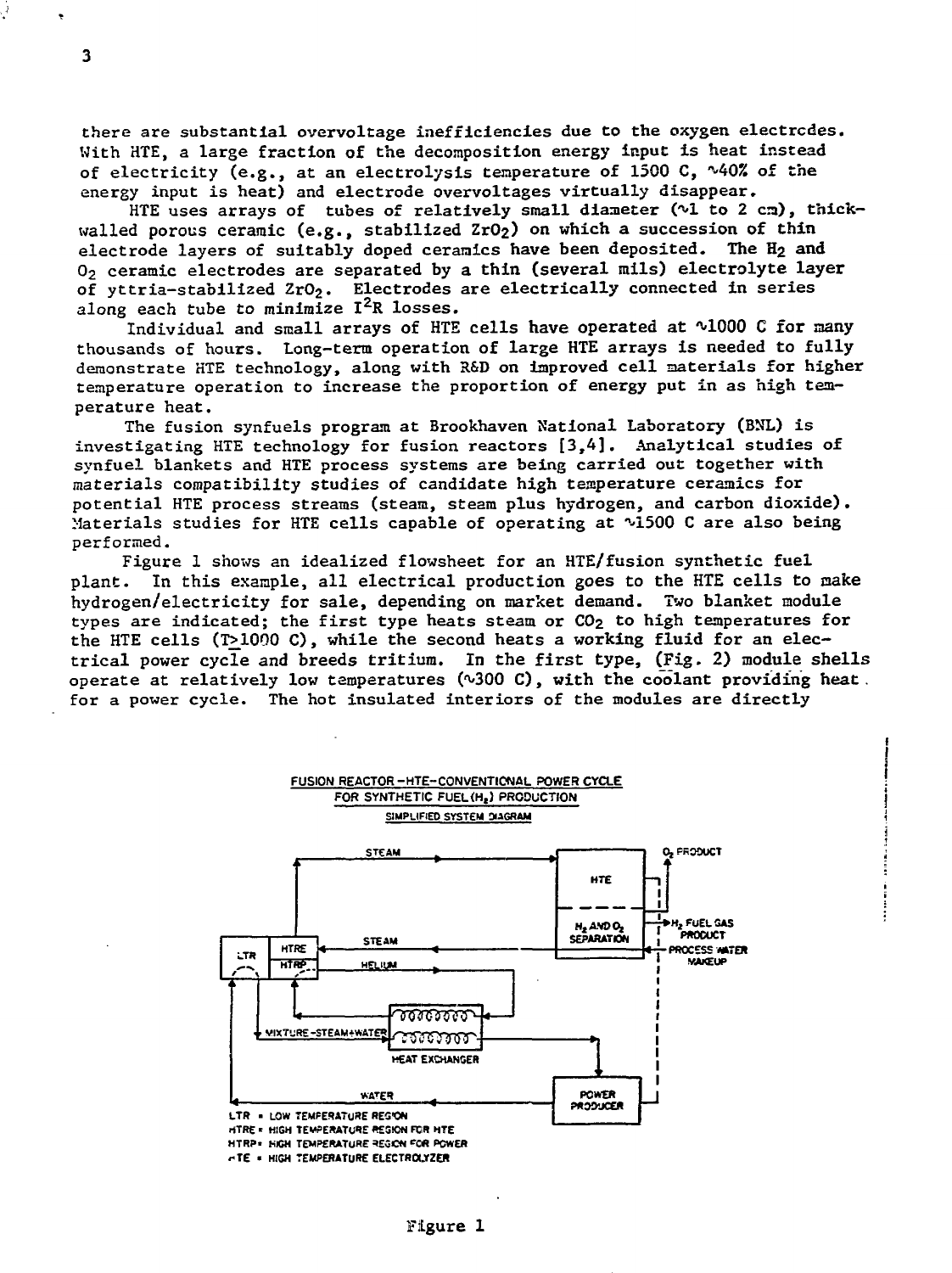there are substantial overvoltage inefficiencies due to the oxygen electrodes. With HTE, a large fraction of the decomposition energy input is heat instead of electricity (e.g., at an electrolysis temperature of 1500 C,  $\sqrt{40\%}$  of the energy input is heat) and electrode overvoltages virtually disappear.

HTE uses arrays of tubes of relatively small diameter (~1 to 2 cm), thickwalled porous ceramic (e.g., stabilized ZrO<sub>2</sub>) on which a succession of thin electrode layers of suitably doped ceramics have been deposited. The  $H_2$  and 02 ceramic electrodes are separated by a thin (several mils) electrolyte layer of yttria-stabilized ZrO<sub>2</sub>. Electrodes are electrically connected in series along each tube to minimize  $I^2R$  losses.

Individual and small arrays of HTE cells have operated at ~1000 C for many thousands of hours. Long-term operation of large HTE arrays is needed to fully demonstrate HTE technology, along with R&D on improved cell materials for higher temperature operation to increase the proportion of energy put in as high temperature heat.

The fusion synfuels program at Brookhaven National Laboratory (BNL) is investigating HTE technology for fusion reactors [3,4]. Analytical studies of synfuel blankets and HTE process systems are being carried out together with materials compatibility studies of candidate high temperature ceramics for potential HTE process streams (steam, steam plus hydrogen, and carbon dioxide). Materials studies for HTE cells capable of operating at ~1500 C are also being performed.

Figure 1 shows an idealized flowsheet for an HTE/fusion synthetic fuel plant. In this example, all electrical production goes to the HTE cells to make hydrogen/electricity for sale, depending on market demand. Two blanket module types are indicated; the first type heats steam or  $CO<sub>2</sub>$  to high temperatures for the HTE cells (T>1000 C), while the second heats a working fluid for an electrical power cycle and breeds tritium. In the first type, (Fig. 2) module shells operate at relatively low temperatures ( $\sqrt{300}$  C), with the coolant providing heat. for a power cycle. The hot insulated interiors of the modules are directly

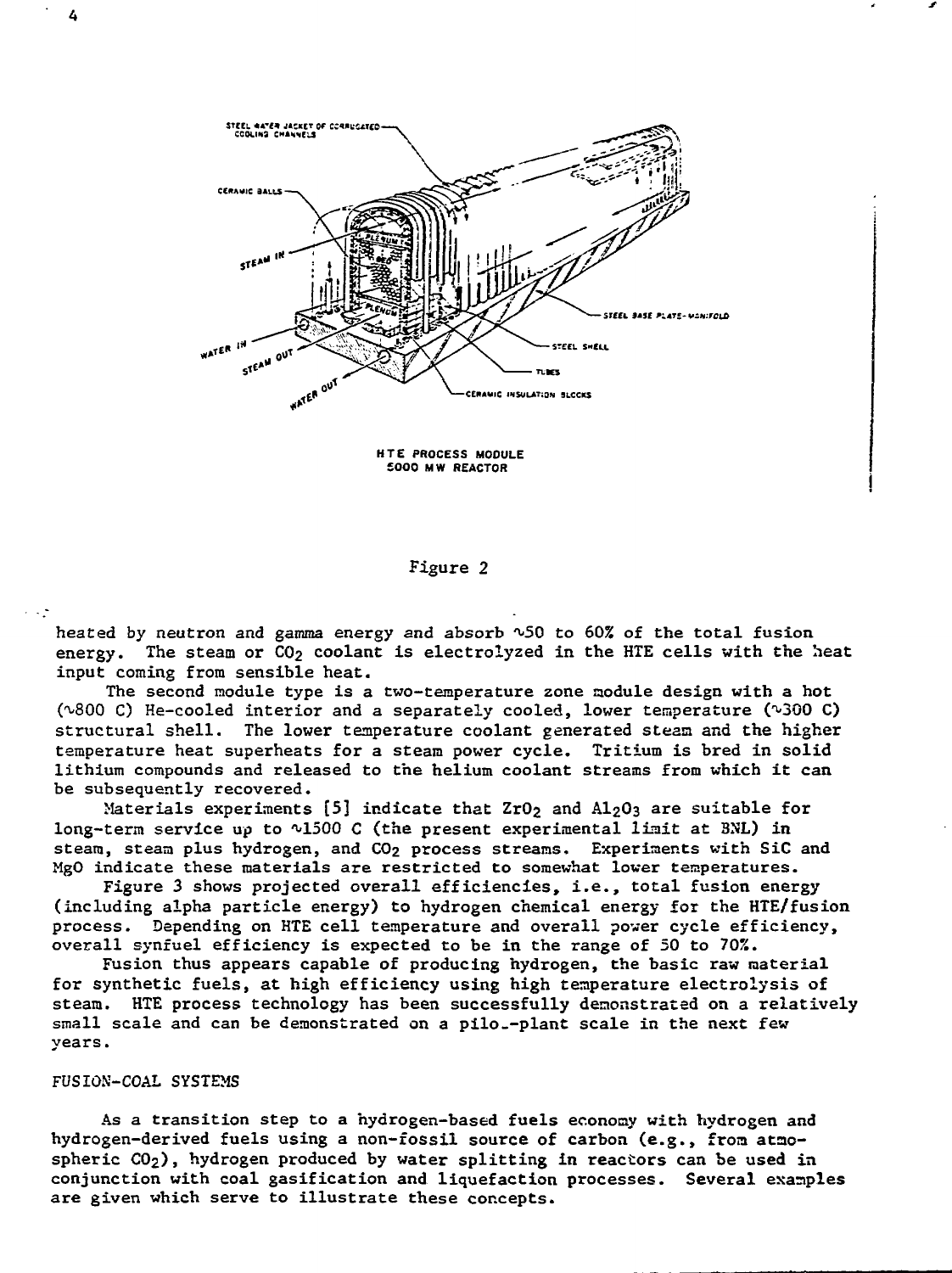

**HTE PROCESS MODULE £000 MW REACTOR**

## Figure 2

heated by neutron and gamma energy and absorb ^50 to 60% of the total fusion energy. The steam or  $CO<sub>2</sub>$  coolant is electrolyzed in the HTE cells with the heat input coming from sensible heat.

The second module type is a two-temperature zone module design with a hot  $(\sim800 \text{ C})$  He-cooled interior and a separately cooled, lower temperature ( $\sim300 \text{ C}$ ) structural shell. The lower temperature coolant generated steam and the higher temperature heat superheats for a steam power cycle. Tritium is bred in solid lithium compounds and released to the helium coolant streams from which it can be subsequently recovered.

Materials experiments  $[5]$  indicate that ZrO<sub>2</sub> and A1<sub>2</sub>O<sub>3</sub> are suitable for long-term service up to  $\sqrt{1500}$  C (the present experimental limit at BNL) in steam, steam plus hydrogen, and CO2 process streams. Experiments with SiC and MgO indicate these materials are restricted to somewhat lower temperatures.

Figure 3 shows projected overall efficiencies, i.e., total fusion energy (including alpha particle energy) to hydrogen chemical energy for the HTE/fusion process. Depending on HTE cell temperature and overall power cycle efficiency, overall synfuel efficiency is expected to be in the range of 50 to 702.

Fusion thus appears capable of producing hydrogen, the basic raw material for synthetic fuels, at high efficiency using high temperature electrolysis of steam. HTE process technology has been successfully demonstrated on a relatively small scale and can be demonstrated on a pilo.-plant scale in the next few years.

# FUSION-COAL SYSTEMS

As a transition step to a hydrogen-based fuels economy with hydrogen and hydrogen-derived fuels using a non-fossil source of carbon (e.g., from ataospheric  $CO<sub>2</sub>$ ), hydrogen produced by water splitting in reactors can be used in conjunction with coal gasification and liquefaction processes. Several examples are given which serve to illustrate these concepts.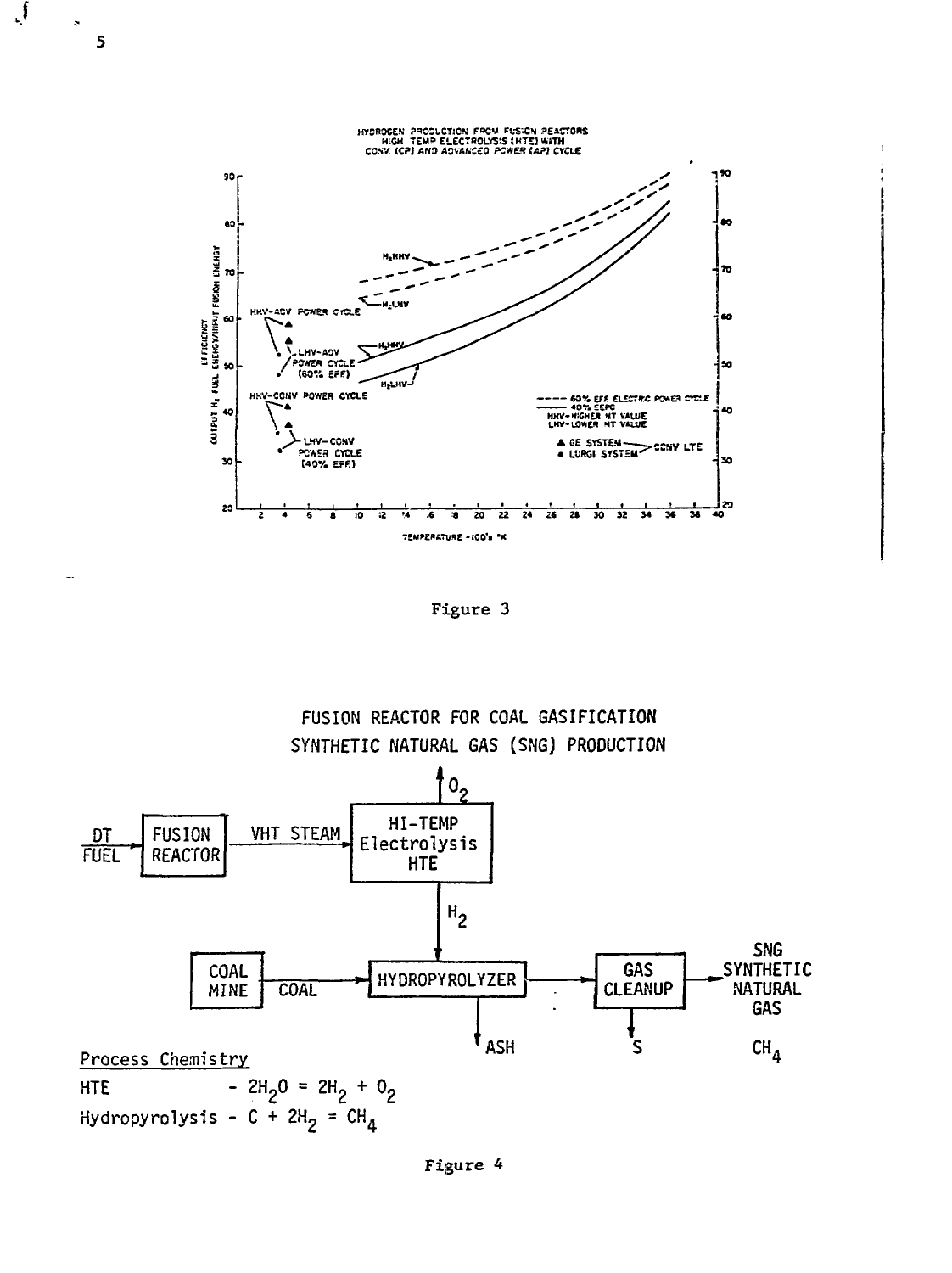

्र

 $\overline{\mathbf{S}}$ 

Figure 3



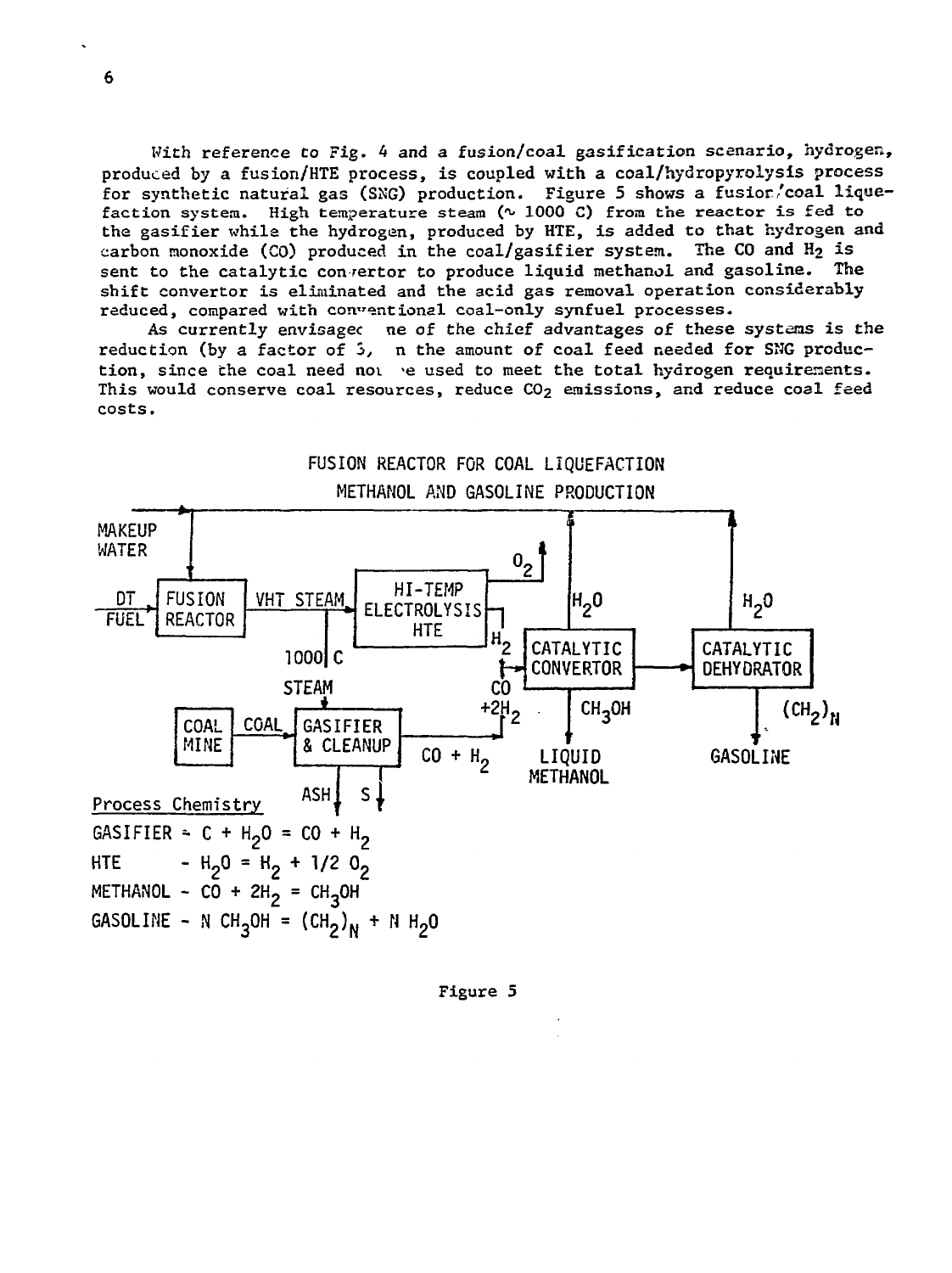With reference to Fig. 4 and a fusion/coal gasification scenario, hydrogen, produced by a fusion/HTE process, is coupled with a coal/hydropyrolysis process for synthetic natural gas (SNG) production. Figure 5 shows a fusior/coal liquefaction system. High temperature steam (^ 1000 C) from the reactor is fed to the gasifier whila the hydrogen, produced by HTE, is added to that hydrogen and carbon monoxide (CO) produced in the coal/gasifier system. The CO and  $H_2$  is sent to the catalytic con rertor to produce liquid methanol and gasoline. The shift convertor is eliminated and the acid gas removal operation considerably reduced, compared with con"entional coal-only synfuel processes.

As currently envisagec ne of the chief advantages of these systems is the reduction (by a factor of 5, n the amount of coal feed needed for SNG production, since the coal need noi >e used to meet the total hydrogen requirements. This would conserve coal resources, reduce  $CO<sub>2</sub>$  emissions, and reduce coal feed costs.



Figure 5